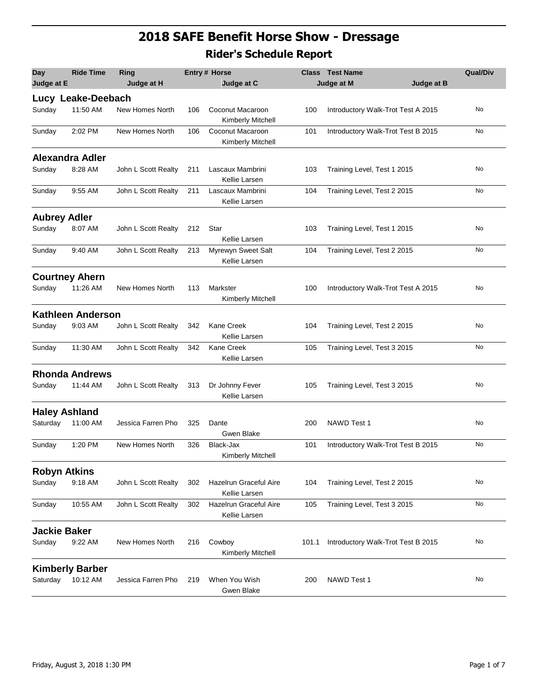## **2018 SAFE Benefit Horse Show - Dressage Rider's Schedule Report**

| <b>Day</b>          | <b>Ride Time</b>         | Ring                |     | Entry # Horse                           |       | <b>Class</b> Test Name             | <b>Qual/Div</b> |
|---------------------|--------------------------|---------------------|-----|-----------------------------------------|-------|------------------------------------|-----------------|
| Judge at E          |                          | Judge at H          |     | Judge at C                              |       | Judge at M<br>Judge at B           |                 |
|                     | Lucy Leake-Deebach       |                     |     |                                         |       |                                    |                 |
| Sunday              | 11:50 AM                 | New Homes North     | 106 | Coconut Macaroon<br>Kimberly Mitchell   | 100   | Introductory Walk-Trot Test A 2015 | No              |
| Sunday              | 2:02 PM                  | New Homes North     | 106 | Coconut Macaroon<br>Kimberly Mitchell   | 101   | Introductory Walk-Trot Test B 2015 | No              |
|                     | <b>Alexandra Adler</b>   |                     |     |                                         |       |                                    |                 |
| Sunday              | 8:28 AM                  | John L Scott Realty | 211 | Lascaux Mambrini<br>Kellie Larsen       | 103   | Training Level, Test 1 2015        | No              |
| Sunday              | 9:55 AM                  | John L Scott Realty | 211 | Lascaux Mambrini<br>Kellie Larsen       | 104   | Training Level, Test 2 2015        | No              |
| <b>Aubrey Adler</b> |                          |                     |     |                                         |       |                                    |                 |
| Sunday              | 8:07 AM                  | John L Scott Realty | 212 | Star<br>Kellie Larsen                   | 103   | Training Level, Test 1 2015        | No              |
| Sunday              | 9:40 AM                  | John L Scott Realty | 213 | Myrewyn Sweet Salt<br>Kellie Larsen     | 104   | Training Level, Test 2 2015        | No              |
|                     | <b>Courtney Ahern</b>    |                     |     |                                         |       |                                    |                 |
| Sunday              | 11:26 AM                 | New Homes North     | 113 | Markster<br>Kimberly Mitchell           | 100   | Introductory Walk-Trot Test A 2015 | No              |
|                     | <b>Kathleen Anderson</b> |                     |     |                                         |       |                                    |                 |
| Sunday              | 9:03 AM                  | John L Scott Realty | 342 | <b>Kane Creek</b><br>Kellie Larsen      | 104   | Training Level, Test 2 2015        | No              |
| Sunday              | 11:30 AM                 | John L Scott Realty | 342 | <b>Kane Creek</b><br>Kellie Larsen      | 105   | Training Level, Test 3 2015        | No              |
|                     | <b>Rhonda Andrews</b>    |                     |     |                                         |       |                                    |                 |
| Sunday              | 11:44 AM                 | John L Scott Realty | 313 | Dr Johnny Fever<br>Kellie Larsen        | 105   | Training Level, Test 3 2015        | No              |
|                     | <b>Haley Ashland</b>     |                     |     |                                         |       |                                    |                 |
| Saturday            | 11:00 AM                 | Jessica Farren Pho  | 325 | Dante<br>Gwen Blake                     | 200   | NAWD Test 1                        | No              |
| Sunday              | 1:20 PM                  | New Homes North     | 326 | Black-Jax<br>Kimberly Mitchell          | 101   | Introductory Walk-Trot Test B 2015 | No              |
|                     | <b>Robyn Atkins</b>      |                     |     |                                         |       |                                    |                 |
| Sunday              | 9:18 AM                  | John L Scott Realty | 302 | Hazelrun Graceful Aire<br>Kellie Larsen | 104   | Training Level, Test 2 2015        | No              |
| Sunday              | 10:55 AM                 | John L Scott Realty | 302 | Hazelrun Graceful Aire<br>Kellie Larsen | 105   | Training Level, Test 3 2015        | No              |
| <b>Jackie Baker</b> |                          |                     |     |                                         |       |                                    |                 |
| Sunday              | 9:22 AM                  | New Homes North     | 216 | Cowboy<br>Kimberly Mitchell             | 101.1 | Introductory Walk-Trot Test B 2015 | No              |
|                     | <b>Kimberly Barber</b>   |                     |     |                                         |       |                                    |                 |
| Saturday            | 10:12 AM                 | Jessica Farren Pho  | 219 | When You Wish<br>Gwen Blake             | 200   | NAWD Test 1                        | No              |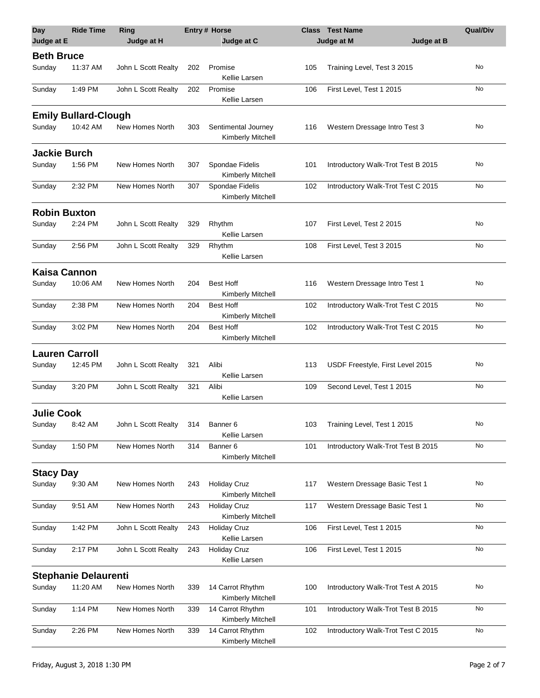| <b>Day</b>          | <b>Ride Time</b>            | <b>Ring</b>         |     | <b>Entry# Horse</b>                      |     | <b>Class</b> Test Name             | <b>Qual/Div</b> |
|---------------------|-----------------------------|---------------------|-----|------------------------------------------|-----|------------------------------------|-----------------|
| Judge at E          |                             | Judge at H          |     | Judge at C                               |     | Judge at B<br>Judge at M           |                 |
| <b>Beth Bruce</b>   |                             |                     |     |                                          |     |                                    |                 |
| Sunday              | 11:37 AM                    | John L Scott Realty | 202 | Promise<br>Kellie Larsen                 | 105 | Training Level, Test 3 2015        | No              |
| Sunday              | 1:49 PM                     | John L Scott Realty | 202 | Promise<br>Kellie Larsen                 | 106 | First Level, Test 1 2015           | No              |
|                     | <b>Emily Bullard-Clough</b> |                     |     |                                          |     |                                    |                 |
| Sunday              | 10:42 AM                    | New Homes North     | 303 | Sentimental Journey<br>Kimberly Mitchell | 116 | Western Dressage Intro Test 3      | No              |
| <b>Jackie Burch</b> |                             |                     |     |                                          |     |                                    |                 |
| Sunday              | 1:56 PM                     | New Homes North     | 307 | Spondae Fidelis<br>Kimberly Mitchell     | 101 | Introductory Walk-Trot Test B 2015 | No              |
| Sunday              | 2:32 PM                     | New Homes North     | 307 | Spondae Fidelis<br>Kimberly Mitchell     | 102 | Introductory Walk-Trot Test C 2015 | No              |
| <b>Robin Buxton</b> |                             |                     |     |                                          |     |                                    |                 |
| Sunday              | 2:24 PM                     | John L Scott Realty | 329 | Rhythm<br>Kellie Larsen                  | 107 | First Level, Test 2 2015           | No              |
| Sunday              | 2:56 PM                     | John L Scott Realty | 329 | Rhythm<br>Kellie Larsen                  | 108 | First Level, Test 3 2015           | No              |
| <b>Kaisa Cannon</b> |                             |                     |     |                                          |     |                                    |                 |
| Sunday              | 10:06 AM                    | New Homes North     | 204 | <b>Best Hoff</b><br>Kimberly Mitchell    | 116 | Western Dressage Intro Test 1      | No              |
| Sunday              | 2:38 PM                     | New Homes North     | 204 | <b>Best Hoff</b><br>Kimberly Mitchell    | 102 | Introductory Walk-Trot Test C 2015 | No              |
| Sunday              | 3:02 PM                     | New Homes North     | 204 | <b>Best Hoff</b><br>Kimberly Mitchell    | 102 | Introductory Walk-Trot Test C 2015 | No              |
|                     | <b>Lauren Carroll</b>       |                     |     |                                          |     |                                    |                 |
| Sunday              | 12:45 PM                    | John L Scott Realty | 321 | Alibi<br>Kellie Larsen                   | 113 | USDF Freestyle, First Level 2015   | No              |
| Sunday              | 3:20 PM                     | John L Scott Realty | 321 | Alibi<br>Kellie Larsen                   | 109 | Second Level, Test 1 2015          | No              |
| <b>Julie Cook</b>   |                             |                     |     |                                          |     |                                    |                 |
| Sunday              | 8:42 AM                     | John L Scott Realty | 314 | Banner 6<br>Kellie Larsen                | 103 | Training Level, Test 1 2015        | No              |
| Sunday              | 1:50 PM                     | New Homes North     | 314 | Banner <sub>6</sub><br>Kimberly Mitchell | 101 | Introductory Walk-Trot Test B 2015 | No              |
| <b>Stacy Day</b>    |                             |                     |     |                                          |     |                                    |                 |
| Sunday              | 9:30 AM                     | New Homes North     | 243 | <b>Holiday Cruz</b><br>Kimberly Mitchell | 117 | Western Dressage Basic Test 1      | No              |
| Sunday              | 9:51 AM                     | New Homes North     | 243 | <b>Holiday Cruz</b><br>Kimberly Mitchell | 117 | Western Dressage Basic Test 1      | No              |
| Sunday              | 1:42 PM                     | John L Scott Realty | 243 | <b>Holiday Cruz</b><br>Kellie Larsen     | 106 | First Level, Test 1 2015           | No              |
| Sunday              | 2:17 PM                     | John L Scott Realty | 243 | <b>Holiday Cruz</b><br>Kellie Larsen     | 106 | First Level, Test 1 2015           | No              |
|                     | <b>Stephanie Delaurenti</b> |                     |     |                                          |     |                                    |                 |
| Sunday              | 11:20 AM                    | New Homes North     | 339 | 14 Carrot Rhythm<br>Kimberly Mitchell    | 100 | Introductory Walk-Trot Test A 2015 | No              |
| Sunday              | 1:14 PM                     | New Homes North     | 339 | 14 Carrot Rhythm<br>Kimberly Mitchell    | 101 | Introductory Walk-Trot Test B 2015 | No              |
| Sunday              | 2:26 PM                     | New Homes North     | 339 | 14 Carrot Rhythm<br>Kimberly Mitchell    | 102 | Introductory Walk-Trot Test C 2015 | No              |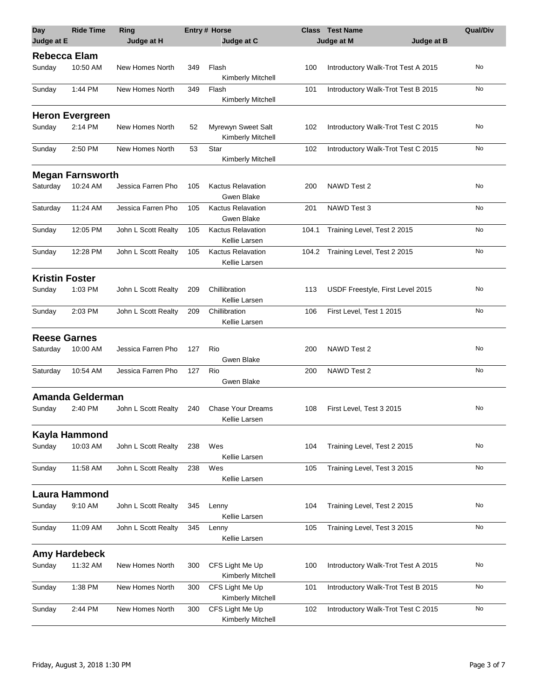| <b>Day</b><br>Judge at E | <b>Ride Time</b>        | <b>Ring</b><br>Judge at H |     | <b>Entry # Horse</b><br>Judge at C            |       | <b>Class</b> Test Name<br>Judge at M<br>Judge at B | <b>Qual/Div</b> |
|--------------------------|-------------------------|---------------------------|-----|-----------------------------------------------|-------|----------------------------------------------------|-----------------|
| <b>Rebecca Elam</b>      |                         |                           |     |                                               |       |                                                    |                 |
| Sunday                   | 10:50 AM                | New Homes North           | 349 | Flash<br>Kimberly Mitchell                    | 100   | Introductory Walk-Trot Test A 2015                 | No              |
| Sunday                   | 1:44 PM                 | New Homes North           | 349 | Flash<br>Kimberly Mitchell                    | 101   | Introductory Walk-Trot Test B 2015                 | No              |
|                          | <b>Heron Evergreen</b>  |                           |     |                                               |       |                                                    |                 |
| Sunday                   | 2:14 PM                 | New Homes North           | 52  | Myrewyn Sweet Salt<br>Kimberly Mitchell       | 102   | Introductory Walk-Trot Test C 2015                 | No              |
| Sunday                   | 2:50 PM                 | New Homes North           | 53  | Star<br>Kimberly Mitchell                     | 102   | Introductory Walk-Trot Test C 2015                 | No              |
|                          | <b>Megan Farnsworth</b> |                           |     |                                               |       |                                                    |                 |
| Saturday                 | 10:24 AM                | Jessica Farren Pho        | 105 | <b>Kactus Relavation</b><br>Gwen Blake        | 200   | NAWD Test 2                                        | No              |
| Saturday                 | 11:24 AM                | Jessica Farren Pho        | 105 | <b>Kactus Relavation</b><br><b>Gwen Blake</b> | 201   | NAWD Test 3                                        | No              |
| Sunday                   | 12:05 PM                | John L Scott Realty       | 105 | <b>Kactus Relavation</b><br>Kellie Larsen     | 104.1 | Training Level, Test 2 2015                        | No              |
| Sunday                   | 12:28 PM                | John L Scott Realty       | 105 | <b>Kactus Relavation</b><br>Kellie Larsen     | 104.2 | Training Level, Test 2 2015                        | No              |
| <b>Kristin Foster</b>    |                         |                           |     |                                               |       |                                                    |                 |
| Sunday                   | 1:03 PM                 | John L Scott Realty       | 209 | Chillibration<br>Kellie Larsen                | 113   | USDF Freestyle, First Level 2015                   | No              |
| Sunday                   | 2:03 PM                 | John L Scott Realty       | 209 | Chillibration<br>Kellie Larsen                | 106   | First Level, Test 1 2015                           | No              |
| <b>Reese Garnes</b>      |                         |                           |     |                                               |       |                                                    |                 |
| Saturday                 | 10:00 AM                | Jessica Farren Pho        | 127 | Rio<br>Gwen Blake                             | 200   | NAWD Test 2                                        | No              |
| Saturday                 | 10:54 AM                | Jessica Farren Pho        | 127 | Rio<br>Gwen Blake                             | 200   | NAWD Test 2                                        | No              |
|                          | Amanda Gelderman        |                           |     |                                               |       |                                                    |                 |
| Sunday                   | 2:40 PM                 | John L Scott Realty       | 240 | <b>Chase Your Dreams</b><br>Kellie Larsen     | 108   | First Level, Test 3 2015                           | No              |
|                          | Kayla Hammond           |                           |     |                                               |       |                                                    |                 |
| Sunday                   | 10:03 AM                | John L Scott Realty       | 238 | Wes<br>Kellie Larsen                          | 104   | Training Level, Test 2 2015                        | No              |
| Sunday                   | 11:58 AM                | John L Scott Realty       | 238 | Wes<br>Kellie Larsen                          | 105   | Training Level, Test 3 2015                        | No              |
|                          | <b>Laura Hammond</b>    |                           |     |                                               |       |                                                    |                 |
| Sunday                   | 9:10 AM                 | John L Scott Realty       | 345 | Lenny<br>Kellie Larsen                        | 104   | Training Level, Test 2 2015                        | No              |
| Sunday                   | 11:09 AM                | John L Scott Realty       | 345 | Lenny<br>Kellie Larsen                        | 105   | Training Level, Test 3 2015                        | No              |
|                          | <b>Amy Hardebeck</b>    |                           |     |                                               |       |                                                    |                 |
| Sunday                   | 11:32 AM                | New Homes North           | 300 | CFS Light Me Up<br>Kimberly Mitchell          | 100   | Introductory Walk-Trot Test A 2015                 | No              |
| Sunday                   | 1:38 PM                 | New Homes North           | 300 | CFS Light Me Up<br>Kimberly Mitchell          | 101   | Introductory Walk-Trot Test B 2015                 | No              |
| Sunday                   | 2:44 PM                 | New Homes North           | 300 | CFS Light Me Up<br>Kimberly Mitchell          | 102   | Introductory Walk-Trot Test C 2015                 | No              |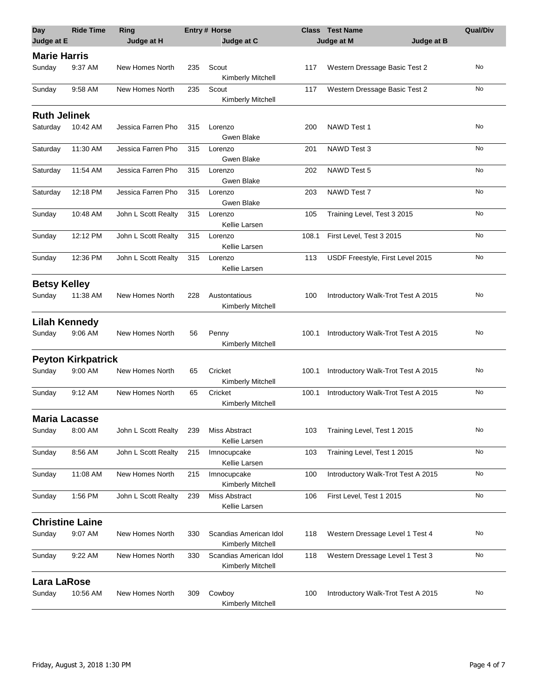| <b>Day</b>           | <b>Ride Time</b>          | Ring                |     | <b>Entry # Horse</b>                        |       | <b>Class Test Name</b>             | <b>Qual/Div</b> |
|----------------------|---------------------------|---------------------|-----|---------------------------------------------|-------|------------------------------------|-----------------|
| Judge at E           |                           | Judge at H          |     | Judge at C                                  |       | Judge at M<br>Judge at B           |                 |
| <b>Marie Harris</b>  |                           |                     |     |                                             |       |                                    |                 |
| Sunday               | 9:37 AM                   | New Homes North     | 235 | Scout<br>Kimberly Mitchell                  | 117   | Western Dressage Basic Test 2      | No              |
| Sunday               | 9:58 AM                   | New Homes North     | 235 | Scout<br>Kimberly Mitchell                  | 117   | Western Dressage Basic Test 2      | No              |
| <b>Ruth Jelinek</b>  |                           |                     |     |                                             |       |                                    |                 |
| Saturday             | 10:42 AM                  | Jessica Farren Pho  | 315 | Lorenzo<br>Gwen Blake                       | 200   | <b>NAWD Test 1</b>                 | No              |
| Saturday             | 11:30 AM                  | Jessica Farren Pho  | 315 | Lorenzo<br>Gwen Blake                       | 201   | NAWD Test 3                        | No              |
| Saturday             | 11:54 AM                  | Jessica Farren Pho  | 315 | Lorenzo<br>Gwen Blake                       | 202   | NAWD Test 5                        | No              |
| Saturday             | 12:18 PM                  | Jessica Farren Pho  | 315 | Lorenzo<br>Gwen Blake                       | 203   | NAWD Test 7                        | No              |
| Sunday               | 10:48 AM                  | John L Scott Realty | 315 | Lorenzo<br>Kellie Larsen                    | 105   | Training Level, Test 3 2015        | No              |
| Sunday               | 12:12 PM                  | John L Scott Realty | 315 | Lorenzo<br>Kellie Larsen                    | 108.1 | First Level, Test 3 2015           | No              |
| Sunday               | 12:36 PM                  | John L Scott Realty | 315 | Lorenzo<br>Kellie Larsen                    | 113   | USDF Freestyle, First Level 2015   | No              |
| <b>Betsy Kelley</b>  |                           |                     |     |                                             |       |                                    |                 |
| Sunday               | 11:38 AM                  | New Homes North     | 228 | Austontatious<br>Kimberly Mitchell          | 100   | Introductory Walk-Trot Test A 2015 | No              |
| <b>Lilah Kennedy</b> |                           |                     |     |                                             |       |                                    |                 |
| Sunday               | 9:06 AM                   | New Homes North     | 56  | Penny<br>Kimberly Mitchell                  | 100.1 | Introductory Walk-Trot Test A 2015 | No              |
|                      | <b>Peyton Kirkpatrick</b> |                     |     |                                             |       |                                    |                 |
| Sunday               | 9:00 AM                   | New Homes North     | 65  | Cricket<br>Kimberly Mitchell                | 100.1 | Introductory Walk-Trot Test A 2015 | No              |
| Sunday               | 9:12 AM                   | New Homes North     | 65  | Cricket<br>Kimberly Mitchell                | 100.1 | Introductory Walk-Trot Test A 2015 | No              |
| <b>Maria Lacasse</b> |                           |                     |     |                                             |       |                                    |                 |
| Sunday               | 8:00 AM                   | John L Scott Realty | 239 | Miss Abstract<br>Kellie Larsen              | 103   | Training Level, Test 1 2015        | No              |
| Sunday               | 8:56 AM                   | John L Scott Realty | 215 | Imnocupcake<br>Kellie Larsen                | 103   | Training Level, Test 1 2015        | No              |
| Sunday               | 11:08 AM                  | New Homes North     | 215 | Imnocupcake<br>Kimberly Mitchell            | 100   | Introductory Walk-Trot Test A 2015 | No              |
| Sunday               | 1:56 PM                   | John L Scott Realty | 239 | Miss Abstract<br>Kellie Larsen              | 106   | First Level, Test 1 2015           | No              |
|                      | <b>Christine Laine</b>    |                     |     |                                             |       |                                    |                 |
| Sunday               | 9:07 AM                   | New Homes North     | 330 | Scandias American Idol<br>Kimberly Mitchell | 118   | Western Dressage Level 1 Test 4    | No              |
| Sunday               | 9:22 AM                   | New Homes North     | 330 | Scandias American Idol<br>Kimberly Mitchell | 118   | Western Dressage Level 1 Test 3    | No              |
| <b>Lara LaRose</b>   |                           |                     |     |                                             |       |                                    |                 |
| Sunday               | 10:56 AM                  | New Homes North     | 309 | Cowboy<br>Kimberly Mitchell                 | 100   | Introductory Walk-Trot Test A 2015 | No              |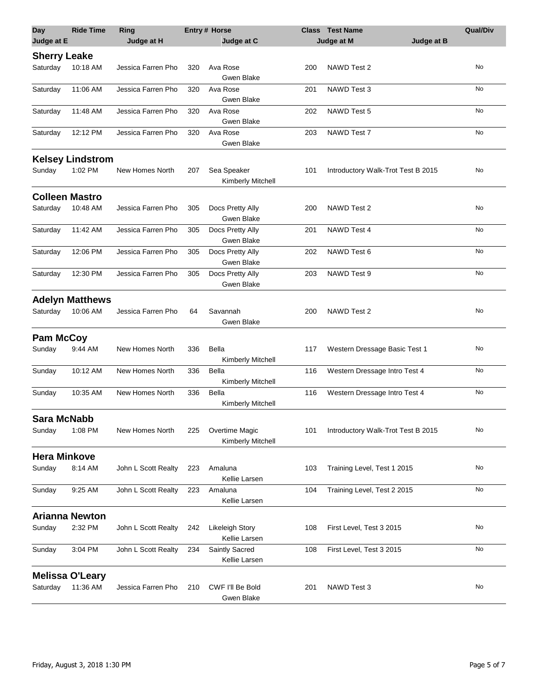| <b>Day</b><br>Judge at E | <b>Ride Time</b>        | Ring<br>Judge at H  |     | <b>Entry# Horse</b><br>Judge at C   |     | <b>Class Test Name</b><br>Judge at M<br>Judge at B | <b>Qual/Div</b> |
|--------------------------|-------------------------|---------------------|-----|-------------------------------------|-----|----------------------------------------------------|-----------------|
|                          |                         |                     |     |                                     |     |                                                    |                 |
| <b>Sherry Leake</b>      |                         |                     |     |                                     |     |                                                    |                 |
| Saturday                 | 10:18 AM                | Jessica Farren Pho  | 320 | Ava Rose                            | 200 | NAWD Test 2                                        | No              |
|                          | 11:06 AM                |                     |     | Gwen Blake                          |     |                                                    | No              |
| Saturday                 |                         | Jessica Farren Pho  | 320 | Ava Rose<br>Gwen Blake              | 201 | NAWD Test 3                                        |                 |
| Saturday                 | 11:48 AM                | Jessica Farren Pho  | 320 | Ava Rose                            | 202 | NAWD Test 5                                        | No              |
|                          |                         |                     |     | Gwen Blake                          |     |                                                    |                 |
| Saturday                 | 12:12 PM                | Jessica Farren Pho  | 320 | Ava Rose                            | 203 | NAWD Test 7                                        | No              |
|                          |                         |                     |     | Gwen Blake                          |     |                                                    |                 |
|                          | <b>Kelsey Lindstrom</b> |                     |     |                                     |     |                                                    |                 |
| Sunday                   | 1:02 PM                 | New Homes North     | 207 | Sea Speaker                         | 101 | Introductory Walk-Trot Test B 2015                 | No              |
|                          |                         |                     |     | Kimberly Mitchell                   |     |                                                    |                 |
|                          |                         |                     |     |                                     |     |                                                    |                 |
| <b>Colleen Mastro</b>    |                         |                     |     |                                     |     |                                                    |                 |
| Saturday                 | 10:48 AM                | Jessica Farren Pho  | 305 | Docs Pretty Ally                    | 200 | NAWD Test 2                                        | No              |
|                          |                         |                     |     | Gwen Blake                          |     |                                                    | No              |
| Saturday                 | 11:42 AM                | Jessica Farren Pho  | 305 | Docs Pretty Ally<br>Gwen Blake      | 201 | NAWD Test 4                                        |                 |
| Saturday                 | 12:06 PM                | Jessica Farren Pho  | 305 | Docs Pretty Ally                    | 202 | NAWD Test 6                                        | No              |
|                          |                         |                     |     | Gwen Blake                          |     |                                                    |                 |
| Saturday                 | 12:30 PM                | Jessica Farren Pho  | 305 | Docs Pretty Ally                    | 203 | NAWD Test 9                                        | No              |
|                          |                         |                     |     | Gwen Blake                          |     |                                                    |                 |
|                          | <b>Adelyn Matthews</b>  |                     |     |                                     |     |                                                    |                 |
| Saturday                 | 10:06 AM                | Jessica Farren Pho  | 64  | Savannah                            | 200 | NAWD Test 2                                        | No              |
|                          |                         |                     |     | Gwen Blake                          |     |                                                    |                 |
|                          |                         |                     |     |                                     |     |                                                    |                 |
| <b>Pam McCoy</b>         |                         |                     |     |                                     |     |                                                    |                 |
| Sunday                   | 9:44 AM                 | New Homes North     | 336 | Bella                               | 117 | Western Dressage Basic Test 1                      | No              |
| Sunday                   | 10:12 AM                | New Homes North     | 336 | Kimberly Mitchell<br>Bella          | 116 | Western Dressage Intro Test 4                      | No              |
|                          |                         |                     |     | Kimberly Mitchell                   |     |                                                    |                 |
| Sunday                   | 10:35 AM                | New Homes North     | 336 | Bella                               | 116 | Western Dressage Intro Test 4                      | No              |
|                          |                         |                     |     | Kimberly Mitchell                   |     |                                                    |                 |
|                          |                         |                     |     |                                     |     |                                                    |                 |
| Sara McNabb              |                         |                     |     |                                     |     |                                                    | No              |
| Sunday                   | 1:08 PM                 | New Homes North     | 225 | Overtime Magic<br>Kimberly Mitchell | 101 | Introductory Walk-Trot Test B 2015                 |                 |
|                          |                         |                     |     |                                     |     |                                                    |                 |
| <b>Hera Minkove</b>      |                         |                     |     |                                     |     |                                                    |                 |
| Sunday                   | 8:14 AM                 | John L Scott Realty | 223 | Amaluna                             | 103 | Training Level, Test 1 2015                        | No              |
|                          |                         |                     |     | Kellie Larsen                       |     |                                                    |                 |
| Sunday                   | 9:25 AM                 | John L Scott Realty | 223 | Amaluna<br>Kellie Larsen            | 104 | Training Level, Test 2 2015                        | No              |
|                          |                         |                     |     |                                     |     |                                                    |                 |
|                          | <b>Arianna Newton</b>   |                     |     |                                     |     |                                                    |                 |
| Sunday                   | 2:32 PM                 | John L Scott Realty | 242 | <b>Likeleigh Story</b>              | 108 | First Level, Test 3 2015                           | No              |
|                          |                         |                     |     | Kellie Larsen                       |     |                                                    |                 |
| Sunday                   | 3:04 PM                 | John L Scott Realty | 234 | Saintly Sacred                      | 108 | First Level, Test 3 2015                           | No              |
|                          |                         |                     |     | Kellie Larsen                       |     |                                                    |                 |
|                          | <b>Melissa O'Leary</b>  |                     |     |                                     |     |                                                    |                 |
| Saturday                 | 11:36 AM                | Jessica Farren Pho  | 210 | CWF I'll Be Bold                    | 201 | NAWD Test 3                                        | No              |
|                          |                         |                     |     | Gwen Blake                          |     |                                                    |                 |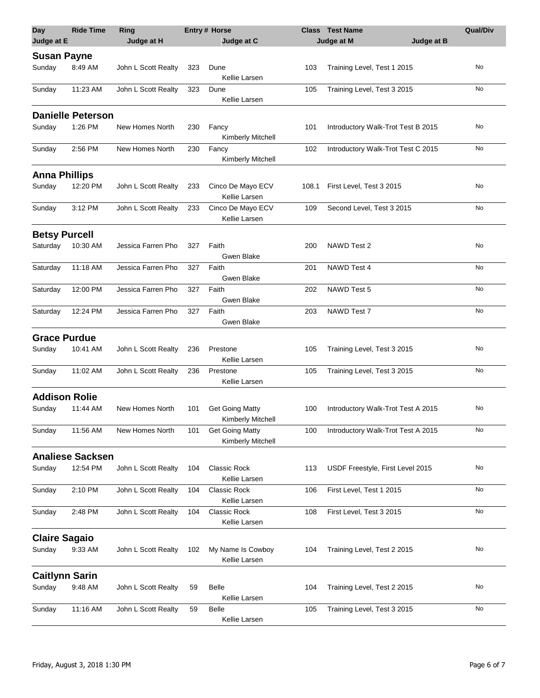| <b>Day</b><br>Judge at E | <b>Ride Time</b>         | <b>Ring</b><br>Judge at H |     | <b>Entry# Horse</b><br>Judge at C           |       | <b>Class Test Name</b><br>Judge at B<br>Judge at M | <b>Qual/Div</b> |
|--------------------------|--------------------------|---------------------------|-----|---------------------------------------------|-------|----------------------------------------------------|-----------------|
| <b>Susan Payne</b>       |                          |                           |     |                                             |       |                                                    |                 |
| Sunday                   | 8:49 AM                  | John L Scott Realty       | 323 | Dune<br>Kellie Larsen                       | 103   | Training Level, Test 1 2015                        | No              |
| Sunday                   | 11:23 AM                 | John L Scott Realty       | 323 | Dune<br>Kellie Larsen                       | 105   | Training Level, Test 3 2015                        | No              |
|                          | <b>Danielle Peterson</b> |                           |     |                                             |       |                                                    |                 |
| Sunday                   | 1:26 PM                  | New Homes North           | 230 | Fancy<br>Kimberly Mitchell                  | 101   | Introductory Walk-Trot Test B 2015                 | No              |
| Sunday                   | 2:56 PM                  | New Homes North           | 230 | Fancy<br>Kimberly Mitchell                  | 102   | Introductory Walk-Trot Test C 2015                 | No              |
| <b>Anna Phillips</b>     |                          |                           |     |                                             |       |                                                    |                 |
| Sunday                   | 12:20 PM                 | John L Scott Realty       | 233 | Cinco De Mayo ECV<br>Kellie Larsen          | 108.1 | First Level, Test 3 2015                           | No              |
| Sunday                   | 3:12 PM                  | John L Scott Realty       | 233 | Cinco De Mayo ECV<br>Kellie Larsen          | 109   | Second Level, Test 3 2015                          | No              |
| <b>Betsy Purcell</b>     |                          |                           |     |                                             |       |                                                    |                 |
| Saturday                 | 10:30 AM                 | Jessica Farren Pho        | 327 | Faith<br>Gwen Blake                         | 200   | NAWD Test 2                                        | No              |
| Saturday                 | 11:18 AM                 | Jessica Farren Pho        | 327 | Faith<br>Gwen Blake                         | 201   | NAWD Test 4                                        | No              |
| Saturday                 | 12:00 PM                 | Jessica Farren Pho        | 327 | Faith<br>Gwen Blake                         | 202   | NAWD Test 5                                        | No              |
| Saturday                 | 12:24 PM                 | Jessica Farren Pho        | 327 | Faith<br>Gwen Blake                         | 203   | NAWD Test 7                                        | No              |
| <b>Grace Purdue</b>      |                          |                           |     |                                             |       |                                                    |                 |
| Sunday                   | 10:41 AM                 | John L Scott Realty       | 236 | Prestone<br>Kellie Larsen                   | 105   | Training Level, Test 3 2015                        | No              |
| Sunday                   | 11:02 AM                 | John L Scott Realty       | 236 | Prestone<br>Kellie Larsen                   | 105   | Training Level, Test 3 2015                        | No              |
| <b>Addison Rolie</b>     |                          |                           |     |                                             |       |                                                    |                 |
| Sunday                   | 11:44 AM                 | New Homes North           | 101 | <b>Get Going Matty</b><br>Kimberly Mitchell | 100   | Introductory Walk-Trot Test A 2015                 | No              |
| Sunday                   | 11:56 AM                 | New Homes North           | 101 | <b>Get Going Matty</b><br>Kimberly Mitchell | 100   | Introductory Walk-Trot Test A 2015                 | No              |
|                          | <b>Analiese Sacksen</b>  |                           |     |                                             |       |                                                    |                 |
| Sunday                   | 12:54 PM                 | John L Scott Realty       | 104 | <b>Classic Rock</b><br>Kellie Larsen        | 113   | USDF Freestyle, First Level 2015                   | No              |
| Sunday                   | 2:10 PM                  | John L Scott Realty       | 104 | <b>Classic Rock</b><br>Kellie Larsen        | 106   | First Level, Test 1 2015                           | No              |
| Sunday                   | 2:48 PM                  | John L Scott Realty       | 104 | <b>Classic Rock</b><br>Kellie Larsen        | 108   | First Level, Test 3 2015                           | No              |
| <b>Claire Sagaio</b>     |                          |                           |     |                                             |       |                                                    |                 |
| Sunday                   | 9:33 AM                  | John L Scott Realty       | 102 | My Name Is Cowboy<br>Kellie Larsen          | 104   | Training Level, Test 2 2015                        | No              |
| <b>Caitlynn Sarin</b>    |                          |                           |     |                                             |       |                                                    |                 |
| Sunday                   | 9:48 AM                  | John L Scott Realty       | 59  | <b>Belle</b><br>Kellie Larsen               | 104   | Training Level, Test 2 2015                        | No              |
| Sunday                   | 11:16 AM                 | John L Scott Realty       | 59  | <b>Belle</b><br>Kellie Larsen               | 105   | Training Level, Test 3 2015                        | No              |